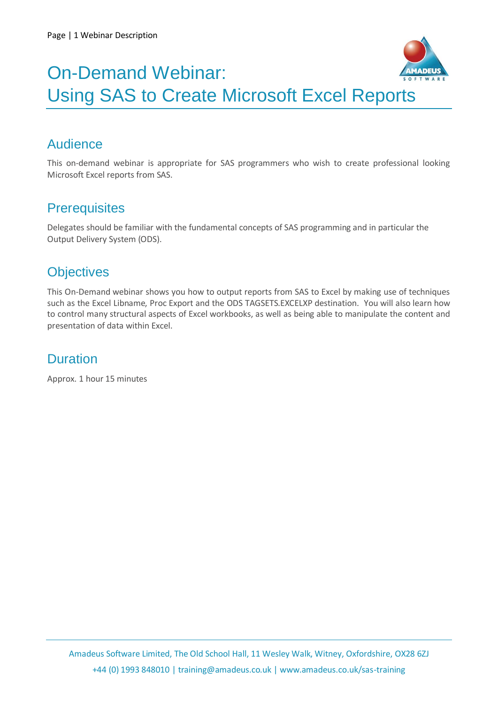

## On-Demand Webinar: Using SAS to Create Microsoft Excel Reports

## Audience

This on-demand webinar is appropriate for SAS programmers who wish to create professional looking Microsoft Excel reports from SAS.

### **Prerequisites**

Delegates should be familiar with the fundamental concepts of SAS programming and in particular the Output Delivery System (ODS).

## **Objectives**

This On-Demand webinar shows you how to output reports from SAS to Excel by making use of techniques such as the Excel Libname, Proc Export and the ODS TAGSETS.EXCELXP destination. You will also learn how to control many structural aspects of Excel workbooks, as well as being able to manipulate the content and presentation of data within Excel.

### **Duration**

Approx. 1 hour 15 minutes